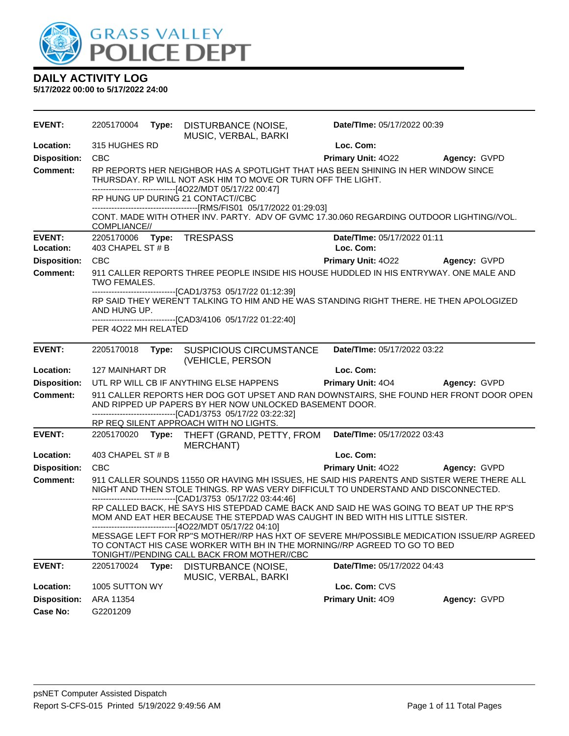

| EVENT:              | 2205170004          |       | Type: DISTURBANCE (NOISE,<br>MUSIC, VERBAL, BARKI                                                                                                                                                                                                            | Date/TIme: 05/17/2022 00:39 |                     |
|---------------------|---------------------|-------|--------------------------------------------------------------------------------------------------------------------------------------------------------------------------------------------------------------------------------------------------------------|-----------------------------|---------------------|
| Location:           | 315 HUGHES RD       |       |                                                                                                                                                                                                                                                              | Loc. Com:                   |                     |
| <b>Disposition:</b> | <b>CBC</b>          |       |                                                                                                                                                                                                                                                              | <b>Primary Unit: 4022</b>   | <b>Agency: GVPD</b> |
| <b>Comment:</b>     |                     |       | RP REPORTS HER NEIGHBOR HAS A SPOTLIGHT THAT HAS BEEN SHINING IN HER WINDOW SINCE<br>THURSDAY. RP WILL NOT ASK HIM TO MOVE OR TURN OFF THE LIGHT.                                                                                                            |                             |                     |
|                     |                     |       | ------------------------------[4O22/MDT 05/17/22 00:47]<br>RP HUNG UP DURING 21 CONTACT//CBC                                                                                                                                                                 |                             |                     |
|                     | COMPLIANCE//        |       | CONT. MADE WITH OTHER INV. PARTY. ADV OF GVMC 17.30.060 REGARDING OUTDOOR LIGHTING//VOL.                                                                                                                                                                     |                             |                     |
| <b>EVENT:</b>       |                     |       | 2205170006    Type: TRESPASS                                                                                                                                                                                                                                 | Date/TIme: 05/17/2022 01:11 |                     |
| Location:           | 403 CHAPEL ST # B   |       |                                                                                                                                                                                                                                                              | Loc. Com:                   |                     |
| <b>Disposition:</b> | <b>CBC</b>          |       |                                                                                                                                                                                                                                                              | <b>Primary Unit: 4022</b>   | Agency: GVPD        |
| <b>Comment:</b>     | <b>TWO FEMALES.</b> |       | 911 CALLER REPORTS THREE PEOPLE INSIDE HIS HOUSE HUDDLED IN HIS ENTRYWAY. ONE MALE AND                                                                                                                                                                       |                             |                     |
|                     | AND HUNG UP.        |       | -------------------------------[CAD1/3753 05/17/22 01:12:39]<br>RP SAID THEY WEREN'T TALKING TO HIM AND HE WAS STANDING RIGHT THERE. HE THEN APOLOGIZED                                                                                                      |                             |                     |
|                     | PER 4022 MH RELATED |       | ------------------------------[CAD3/4106 05/17/22 01:22:40]                                                                                                                                                                                                  |                             |                     |
| <b>EVENT:</b>       | 2205170018          |       | Type: SUSPICIOUS CIRCUMSTANCE<br>(VEHICLE, PERSON                                                                                                                                                                                                            | Date/TIme: 05/17/2022 03:22 |                     |
| Location:           | 127 MAINHART DR     |       |                                                                                                                                                                                                                                                              | Loc. Com:                   |                     |
| <b>Disposition:</b> |                     |       | UTL RP WILL CB IF ANYTHING ELSE HAPPENS                                                                                                                                                                                                                      | <b>Primary Unit: 404</b>    | Agency: GVPD        |
| <b>Comment:</b>     |                     |       | 911 CALLER REPORTS HER DOG GOT UPSET AND RAN DOWNSTAIRS, SHE FOUND HER FRONT DOOR OPEN<br>AND RIPPED UP PAPERS BY HER NOW UNLOCKED BASEMENT DOOR.<br>--------------------------------[CAD1/3753 05/17/22 03:22:32]<br>RP REQ SILENT APPROACH WITH NO LIGHTS. |                             |                     |
| <b>EVENT:</b>       |                     |       | 2205170020 Type: THEFT (GRAND, PETTY, FROM Date/Time: 05/17/2022 03:43<br>MERCHANT)                                                                                                                                                                          |                             |                     |
| Location:           | 403 CHAPEL ST # B   |       |                                                                                                                                                                                                                                                              | Loc. Com:                   |                     |
| <b>Disposition:</b> | <b>CBC</b>          |       |                                                                                                                                                                                                                                                              | <b>Primary Unit: 4022</b>   | <b>Agency: GVPD</b> |
| <b>Comment:</b>     |                     |       | 911 CALLER SOUNDS 11550 OR HAVING MH ISSUES, HE SAID HIS PARENTS AND SISTER WERE THERE ALL<br>NIGHT AND THEN STOLE THINGS. RP WAS VERY DIFFICULT TO UNDERSTAND AND DISCONNECTED.<br>-------------------------------[CAD1/3753 05/17/22 03:44:46]             |                             |                     |
|                     |                     |       | RP CALLED BACK, HE SAYS HIS STEPDAD CAME BACK AND SAID HE WAS GOING TO BEAT UP THE RP'S<br>MOM AND EAT HER BECAUSE THE STEPDAD WAS CAUGHT IN BED WITH HIS LITTLE SISTER.<br>-------------------------------[4O22/MDT 05/17/22 04:10]                         |                             |                     |
|                     |                     |       | MESSAGE LEFT FOR RP"S MOTHER//RP HAS HXT OF SEVERE MH/POSSIBLE MEDICATION ISSUE/RP AGREED<br>TO CONTACT HIS CASE WORKER WITH BH IN THE MORNING//RP AGREED TO GO TO BED<br>TONIGHT//PENDING CALL BACK FROM MOTHER//CBC                                        |                             |                     |
| <b>EVENT:</b>       | 2205170024          | Type: | DISTURBANCE (NOISE,<br>MUSIC, VERBAL, BARKI                                                                                                                                                                                                                  | Date/TIme: 05/17/2022 04:43 |                     |
| Location:           | 1005 SUTTON WY      |       |                                                                                                                                                                                                                                                              | Loc. Com: CVS               |                     |
| <b>Disposition:</b> | ARA 11354           |       |                                                                                                                                                                                                                                                              | Primary Unit: 409           | Agency: GVPD        |
| <b>Case No:</b>     | G2201209            |       |                                                                                                                                                                                                                                                              |                             |                     |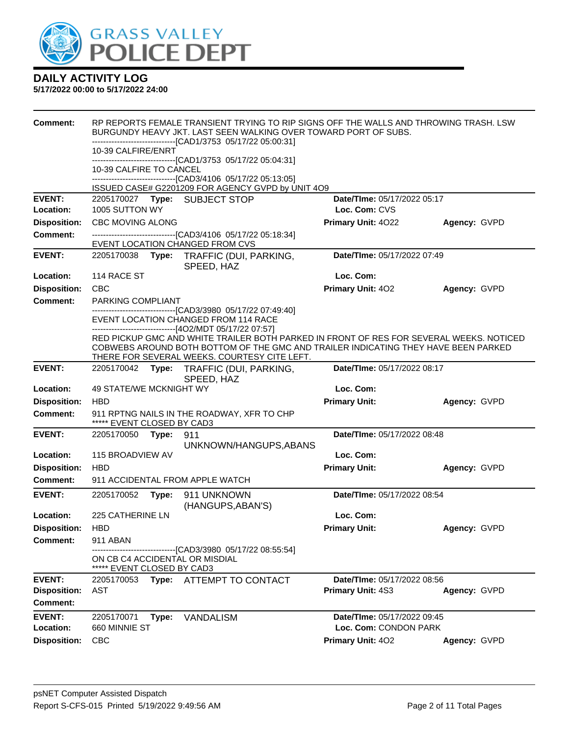

| Comment:                               | RP REPORTS FEMALE TRANSIENT TRYING TO RIP SIGNS OFF THE WALLS AND THROWING TRASH. LSW<br>BURGUNDY HEAVY JKT. LAST SEEN WALKING OVER TOWARD PORT OF SUBS.<br>-------------------------------[CAD1/3753 05/17/22 05:00:31] |       |                                                                                                                                                                               |                                                      |              |
|----------------------------------------|--------------------------------------------------------------------------------------------------------------------------------------------------------------------------------------------------------------------------|-------|-------------------------------------------------------------------------------------------------------------------------------------------------------------------------------|------------------------------------------------------|--------------|
|                                        | 10-39 CALFIRE/ENRT                                                                                                                                                                                                       |       | -------------------------------[CAD1/3753_05/17/22_05:04:31]                                                                                                                  |                                                      |              |
|                                        | 10-39 CALFIRE TO CANCEL                                                                                                                                                                                                  |       |                                                                                                                                                                               |                                                      |              |
|                                        |                                                                                                                                                                                                                          |       | -------------------------------[CAD3/4106 05/17/22 05:13:05]<br>ISSUED CASE# G2201209 FOR AGENCY GVPD by UNIT 4O9                                                             |                                                      |              |
| <b>EVENT:</b>                          |                                                                                                                                                                                                                          |       | 2205170027 Type: SUBJECT STOP                                                                                                                                                 | Date/TIme: 05/17/2022 05:17                          |              |
| Location:                              | 1005 SUTTON WY                                                                                                                                                                                                           |       |                                                                                                                                                                               | Loc. Com: CVS                                        |              |
| <b>Disposition:</b>                    | <b>CBC MOVING ALONG</b>                                                                                                                                                                                                  |       |                                                                                                                                                                               | Primary Unit: 4022                                   | Agency: GVPD |
| <b>Comment:</b>                        |                                                                                                                                                                                                                          |       | -------------------------------[CAD3/4106 05/17/22 05:18:34]<br>EVENT LOCATION CHANGED FROM CVS                                                                               |                                                      |              |
| <b>EVENT:</b>                          |                                                                                                                                                                                                                          |       | 2205170038 Type: TRAFFIC (DUI, PARKING,<br>SPEED, HAZ                                                                                                                         | Date/TIme: 05/17/2022 07:49                          |              |
| Location:                              | 114 RACE ST                                                                                                                                                                                                              |       |                                                                                                                                                                               | Loc. Com:                                            |              |
| <b>Disposition:</b>                    | <b>CBC</b>                                                                                                                                                                                                               |       |                                                                                                                                                                               | Primary Unit: 402                                    | Agency: GVPD |
| <b>Comment:</b>                        | PARKING COMPLIANT                                                                                                                                                                                                        |       |                                                                                                                                                                               |                                                      |              |
|                                        |                                                                                                                                                                                                                          |       | -------------------------------[CAD3/3980 05/17/22 07:49:40]<br>EVENT LOCATION CHANGED FROM 114 RACE                                                                          |                                                      |              |
|                                        |                                                                                                                                                                                                                          |       | -------------------------------[4O2/MDT 05/17/22 07:57]                                                                                                                       |                                                      |              |
|                                        |                                                                                                                                                                                                                          |       | RED PICKUP GMC AND WHITE TRAILER BOTH PARKED IN FRONT OF RES FOR SEVERAL WEEKS. NOTICED<br>COBWEBS AROUND BOTH BOTTOM OF THE GMC AND TRAILER INDICATING THEY HAVE BEEN PARKED |                                                      |              |
|                                        |                                                                                                                                                                                                                          |       | THERE FOR SEVERAL WEEKS. COURTESY CITE LEFT.                                                                                                                                  |                                                      |              |
| <b>EVENT:</b>                          |                                                                                                                                                                                                                          |       | 2205170042 Type: TRAFFIC (DUI, PARKING,<br>SPEED, HAZ                                                                                                                         | Date/TIme: 05/17/2022 08:17                          |              |
| Location:                              | 49 STATE/WE MCKNIGHT WY                                                                                                                                                                                                  |       |                                                                                                                                                                               | Loc. Com:                                            |              |
| <b>Disposition:</b>                    | <b>HBD</b>                                                                                                                                                                                                               |       |                                                                                                                                                                               | <b>Primary Unit:</b>                                 | Agency: GVPD |
| <b>Comment:</b>                        | ***** EVENT CLOSED BY CAD3                                                                                                                                                                                               |       | 911 RPTNG NAILS IN THE ROADWAY, XFR TO CHP                                                                                                                                    |                                                      |              |
| <b>EVENT:</b>                          | 2205170050                                                                                                                                                                                                               | Type: | 911                                                                                                                                                                           | Date/TIme: 05/17/2022 08:48                          |              |
|                                        |                                                                                                                                                                                                                          |       | UNKNOWN/HANGUPS, ABANS                                                                                                                                                        |                                                      |              |
| Location:<br><b>Disposition:</b>       | 115 BROADVIEW AV<br><b>HBD</b>                                                                                                                                                                                           |       |                                                                                                                                                                               | Loc. Com:<br><b>Primary Unit:</b>                    |              |
| Comment:                               |                                                                                                                                                                                                                          |       | 911 ACCIDENTAL FROM APPLE WATCH                                                                                                                                               |                                                      | Agency: GVPD |
| <b>EVENT:</b>                          |                                                                                                                                                                                                                          |       |                                                                                                                                                                               |                                                      |              |
|                                        |                                                                                                                                                                                                                          |       |                                                                                                                                                                               |                                                      |              |
|                                        | 2205170052                                                                                                                                                                                                               |       | Type: 911 UNKNOWN                                                                                                                                                             | Date/TIme: 05/17/2022 08:54                          |              |
| Location:                              | 225 CATHERINE LN                                                                                                                                                                                                         |       | (HANGUPS, ABAN'S)                                                                                                                                                             | Loc. Com:                                            |              |
| <b>Disposition:</b>                    | <b>HBD</b>                                                                                                                                                                                                               |       |                                                                                                                                                                               | <b>Primary Unit:</b>                                 | Agency: GVPD |
| <b>Comment:</b>                        | 911 ABAN                                                                                                                                                                                                                 |       |                                                                                                                                                                               |                                                      |              |
|                                        |                                                                                                                                                                                                                          |       | ---------------[CAD3/3980 05/17/22 08:55:54]<br>ON CB C4 ACCIDENTAL OR MISDIAL                                                                                                |                                                      |              |
|                                        | ***** EVENT CLOSED BY CAD3                                                                                                                                                                                               |       |                                                                                                                                                                               |                                                      |              |
| <b>EVENT:</b>                          | 2205170053                                                                                                                                                                                                               | Type: | ATTEMPT TO CONTACT                                                                                                                                                            | <b>Date/Time: 05/17/2022 08:56</b>                   |              |
| <b>Disposition:</b><br><b>Comment:</b> | AST                                                                                                                                                                                                                      |       |                                                                                                                                                                               | Primary Unit: 4S3                                    | Agency: GVPD |
|                                        |                                                                                                                                                                                                                          |       |                                                                                                                                                                               |                                                      |              |
| <b>EVENT:</b><br>Location:             | 2205170071<br>660 MINNIE ST                                                                                                                                                                                              | Type: | <b>VANDALISM</b>                                                                                                                                                              | Date/TIme: 05/17/2022 09:45<br>Loc. Com: CONDON PARK |              |
| <b>Disposition:</b>                    | <b>CBC</b>                                                                                                                                                                                                               |       |                                                                                                                                                                               | Primary Unit: 402                                    | Agency: GVPD |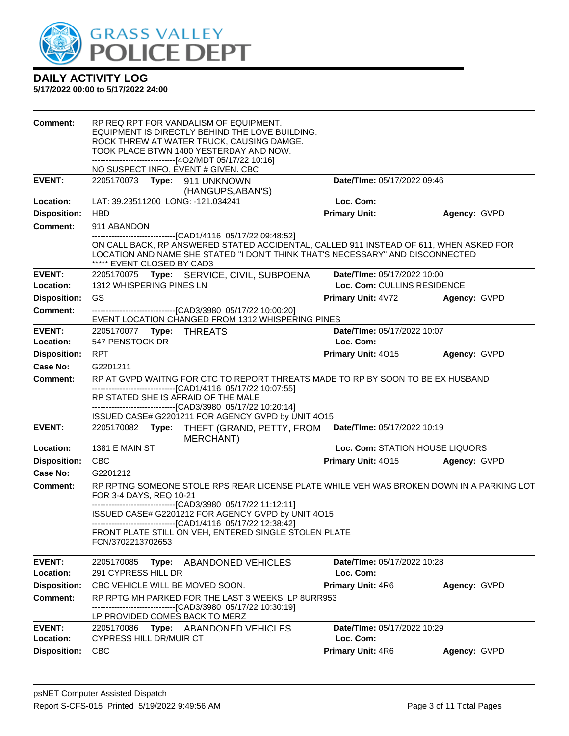

| Comment:                               | RP REQ RPT FOR VANDALISM OF EQUIPMENT.<br>EQUIPMENT IS DIRECTLY BEHIND THE LOVE BUILDING.<br>ROCK THREW AT WATER TRUCK, CAUSING DAMGE.<br>TOOK PLACE BTWN 1400 YESTERDAY AND NOW.<br>------------------------------[4O2/MDT 05/17/22 10:16]<br>NO SUSPECT INFO, EVENT # GIVEN. CBC |                                                            |              |
|----------------------------------------|------------------------------------------------------------------------------------------------------------------------------------------------------------------------------------------------------------------------------------------------------------------------------------|------------------------------------------------------------|--------------|
| <b>EVENT:</b>                          | 2205170073 Type: 911 UNKNOWN                                                                                                                                                                                                                                                       | Date/TIme: 05/17/2022 09:46                                |              |
|                                        | (HANGUPS, ABAN'S)                                                                                                                                                                                                                                                                  |                                                            |              |
| Location:                              | LAT: 39.23511200 LONG: -121.034241                                                                                                                                                                                                                                                 | Loc. Com:                                                  |              |
| <b>Disposition:</b><br><b>Comment:</b> | <b>HBD</b>                                                                                                                                                                                                                                                                         | <b>Primary Unit:</b>                                       | Agency: GVPD |
|                                        | 911 ABANDON<br>-------------------------------[CAD1/4116 05/17/22 09:48:52]                                                                                                                                                                                                        |                                                            |              |
|                                        | ON CALL BACK, RP ANSWERED STATED ACCIDENTAL, CALLED 911 INSTEAD OF 611, WHEN ASKED FOR<br>LOCATION AND NAME SHE STATED "I DON'T THINK THAT'S NECESSARY" AND DISCONNECTED<br>***** EVENT CLOSED BY CAD3                                                                             |                                                            |              |
| <b>EVENT:</b><br>Location:             | 2205170075 Type: SERVICE, CIVIL, SUBPOENA<br>1312 WHISPERING PINES LN                                                                                                                                                                                                              | Date/TIme: 05/17/2022 10:00<br>Loc. Com: CULLINS RESIDENCE |              |
| <b>Disposition:</b>                    | GS                                                                                                                                                                                                                                                                                 | <b>Primary Unit: 4V72</b>                                  | Agency: GVPD |
| <b>Comment:</b>                        | -------------------------------[CAD3/3980 05/17/22 10:00:20]                                                                                                                                                                                                                       |                                                            |              |
|                                        | EVENT LOCATION CHANGED FROM 1312 WHISPERING PINES                                                                                                                                                                                                                                  |                                                            |              |
| <b>EVENT:</b><br>Location:             | 2205170077    Type: THREATS<br>547 PENSTOCK DR                                                                                                                                                                                                                                     | Date/TIme: 05/17/2022 10:07<br>Loc. Com:                   |              |
| <b>Disposition:</b>                    | <b>RPT</b>                                                                                                                                                                                                                                                                         | Primary Unit: 4015                                         | Agency: GVPD |
| Case No:                               | G2201211                                                                                                                                                                                                                                                                           |                                                            |              |
| Comment:                               | RP AT GVPD WAITNG FOR CTC TO REPORT THREATS MADE TO RP BY SOON TO BE EX HUSBAND                                                                                                                                                                                                    |                                                            |              |
|                                        | -------------------------------[CAD1/4116 05/17/22 10:07:55]<br>RP STATED SHE IS AFRAID OF THE MALE<br>-------------------------------[CAD3/3980 05/17/22 10:20:14]<br>ISSUED CASE# G2201211 FOR AGENCY GVPD by UNIT 4O15                                                          |                                                            |              |
| <b>EVENT:</b>                          | 2205170082<br>Type: THEFT (GRAND, PETTY, FROM<br><b>MERCHANT)</b>                                                                                                                                                                                                                  | Date/TIme: 05/17/2022 10:19                                |              |
| Location:                              | 1381 E MAIN ST                                                                                                                                                                                                                                                                     | Loc. Com: STATION HOUSE LIQUORS                            |              |
| <b>Disposition:</b>                    | <b>CBC</b>                                                                                                                                                                                                                                                                         | Primary Unit: 4015                                         | Agency: GVPD |
| Case No:                               | G2201212                                                                                                                                                                                                                                                                           |                                                            |              |
| <b>Comment:</b>                        | RP RPTNG SOMEONE STOLE RPS REAR LICENSE PLATE WHILE VEH WAS BROKEN DOWN IN A PARKING LOT<br>FOR 3-4 DAYS, REQ 10-21<br>--------------------------------[CAD3/3980 05/17/22 11:12:11]                                                                                               |                                                            |              |
|                                        | ISSUED CASE# G2201212 FOR AGENCY GVPD by UNIT 4O15                                                                                                                                                                                                                                 |                                                            |              |
|                                        | -------------------------------[CAD1/4116 05/17/22 12:38:42]<br>FRONT PLATE STILL ON VEH, ENTERED SINGLE STOLEN PLATE                                                                                                                                                              |                                                            |              |
|                                        | FCN/3702213702653                                                                                                                                                                                                                                                                  |                                                            |              |
| <b>EVENT:</b>                          | 2205170085<br>Type: ABANDONED VEHICLES                                                                                                                                                                                                                                             | Date/TIme: 05/17/2022 10:28                                |              |
| Location:                              | 291 CYPRESS HILL DR                                                                                                                                                                                                                                                                | Loc. Com:                                                  |              |
| <b>Disposition:</b>                    | CBC VEHICLE WILL BE MOVED SOON.                                                                                                                                                                                                                                                    | <b>Primary Unit: 4R6</b>                                   | Agency: GVPD |
| <b>Comment:</b>                        | RP RPTG MH PARKED FOR THE LAST 3 WEEKS, LP 8URR953<br>-----------------------[CAD3/3980_05/17/22 10:30:19]                                                                                                                                                                         |                                                            |              |
|                                        | LP PROVIDED COMES BACK TO MERZ                                                                                                                                                                                                                                                     |                                                            |              |
| <b>EVENT:</b><br>Location:             | 2205170086<br>Type: ABANDONED VEHICLES<br><b>CYPRESS HILL DR/MUIR CT</b>                                                                                                                                                                                                           | Date/TIme: 05/17/2022 10:29<br>Loc. Com:                   |              |
| <b>Disposition:</b>                    | <b>CBC</b>                                                                                                                                                                                                                                                                         | Primary Unit: 4R6                                          | Agency: GVPD |
|                                        |                                                                                                                                                                                                                                                                                    |                                                            |              |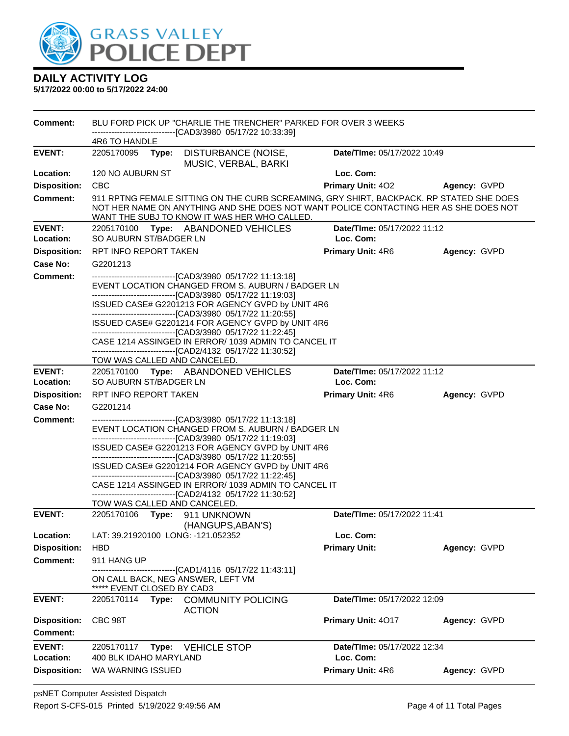

| <b>Comment:</b>     | BLU FORD PICK UP "CHARLIE THE TRENCHER" PARKED FOR OVER 3 WEEKS<br>---------------------------------[CAD3/3980_05/17/22_10:33:39]                                                                                                                                                                                                                                                                                                                                                                                                                                                   |                             |              |  |  |  |
|---------------------|-------------------------------------------------------------------------------------------------------------------------------------------------------------------------------------------------------------------------------------------------------------------------------------------------------------------------------------------------------------------------------------------------------------------------------------------------------------------------------------------------------------------------------------------------------------------------------------|-----------------------------|--------------|--|--|--|
|                     | 4R6 TO HANDLE                                                                                                                                                                                                                                                                                                                                                                                                                                                                                                                                                                       |                             |              |  |  |  |
| <b>EVENT:</b>       | 2205170095 Type:<br>DISTURBANCE (NOISE,<br>MUSIC, VERBAL, BARKI                                                                                                                                                                                                                                                                                                                                                                                                                                                                                                                     | Date/TIme: 05/17/2022 10:49 |              |  |  |  |
| Location:           | 120 NO AUBURN ST                                                                                                                                                                                                                                                                                                                                                                                                                                                                                                                                                                    | Loc. Com:                   |              |  |  |  |
| <b>Disposition:</b> | <b>CBC</b>                                                                                                                                                                                                                                                                                                                                                                                                                                                                                                                                                                          | <b>Primary Unit: 402</b>    | Agency: GVPD |  |  |  |
| <b>Comment:</b>     | 911 RPTNG FEMALE SITTING ON THE CURB SCREAMING, GRY SHIRT, BACKPACK. RP STATED SHE DOES<br>NOT HER NAME ON ANYTHING AND SHE DOES NOT WANT POLICE CONTACTING HER AS SHE DOES NOT<br>WANT THE SUBJ TO KNOW IT WAS HER WHO CALLED.                                                                                                                                                                                                                                                                                                                                                     |                             |              |  |  |  |
| <b>EVENT:</b>       | 2205170100<br>Type: ABANDONED VEHICLES                                                                                                                                                                                                                                                                                                                                                                                                                                                                                                                                              | Date/TIme: 05/17/2022 11:12 |              |  |  |  |
| Location:           | SO AUBURN ST/BADGER LN                                                                                                                                                                                                                                                                                                                                                                                                                                                                                                                                                              | Loc. Com:                   |              |  |  |  |
| <b>Disposition:</b> | RPT INFO REPORT TAKEN                                                                                                                                                                                                                                                                                                                                                                                                                                                                                                                                                               | <b>Primary Unit: 4R6</b>    | Agency: GVPD |  |  |  |
| Case No:            | G2201213                                                                                                                                                                                                                                                                                                                                                                                                                                                                                                                                                                            |                             |              |  |  |  |
| <b>Comment:</b>     | ------------------------------[CAD3/3980 05/17/22 11:13:18]<br>EVENT LOCATION CHANGED FROM S. AUBURN / BADGER LN<br>ISSUED CASE# G2201213 FOR AGENCY GVPD by UNIT 4R6<br>-------------------------------[CAD3/3980_05/17/22 11:20:55]<br>ISSUED CASE# G2201214 FOR AGENCY GVPD by UNIT 4R6<br>-------------------------------[CAD3/3980_05/17/22 11:22:45]<br>CASE 1214 ASSINGED IN ERROR/ 1039 ADMIN TO CANCEL IT<br>-------------------------------[CAD2/4132 05/17/22 11:30:52]<br>TOW WAS CALLED AND CANCELED.                                                                  |                             |              |  |  |  |
| <b>EVENT:</b>       | 2205170100 Type: ABANDONED VEHICLES                                                                                                                                                                                                                                                                                                                                                                                                                                                                                                                                                 | Date/TIme: 05/17/2022 11:12 |              |  |  |  |
| Location:           | SO AUBURN ST/BADGER LN                                                                                                                                                                                                                                                                                                                                                                                                                                                                                                                                                              | Loc. Com:                   |              |  |  |  |
| <b>Disposition:</b> | RPT INFO REPORT TAKEN                                                                                                                                                                                                                                                                                                                                                                                                                                                                                                                                                               | <b>Primary Unit: 4R6</b>    | Agency: GVPD |  |  |  |
| <b>Case No:</b>     | G2201214                                                                                                                                                                                                                                                                                                                                                                                                                                                                                                                                                                            |                             |              |  |  |  |
| <b>Comment:</b>     | -------------------------------[CAD3/3980_05/17/22 11:13:18]<br>EVENT LOCATION CHANGED FROM S. AUBURN / BADGER LN<br>-------------------------------[CAD3/3980_05/17/22 11:19:03]<br>ISSUED CASE# G2201213 FOR AGENCY GVPD by UNIT 4R6<br>-------------------------------[CAD3/3980_05/17/22 11:20:55]<br>ISSUED CASE# G2201214 FOR AGENCY GVPD by UNIT 4R6<br>-------------------------------[CAD3/3980_05/17/22 11:22:45]<br>CASE 1214 ASSINGED IN ERROR/ 1039 ADMIN TO CANCEL IT<br>-------------------------------[CAD2/4132 05/17/22 11:30:52]<br>TOW WAS CALLED AND CANCELED. |                             |              |  |  |  |
| <b>EVENT:</b>       | 2205170106 Type: 911 UNKNOWN                                                                                                                                                                                                                                                                                                                                                                                                                                                                                                                                                        | Date/TIme: 05/17/2022 11:41 |              |  |  |  |
|                     | (HANGUPS, ABAN'S)                                                                                                                                                                                                                                                                                                                                                                                                                                                                                                                                                                   |                             |              |  |  |  |
| Location:           | LAT: 39.21920100 LONG: -121.052352                                                                                                                                                                                                                                                                                                                                                                                                                                                                                                                                                  | Loc. Com:                   |              |  |  |  |
| <b>Disposition:</b> | <b>HBD</b>                                                                                                                                                                                                                                                                                                                                                                                                                                                                                                                                                                          | <b>Primary Unit:</b>        | Agency: GVPD |  |  |  |
| <b>Comment:</b>     | 911 HANG UP<br>------------------[CAD1/4116 05/17/22 11:43:11]<br>ON CALL BACK, NEG ANSWER, LEFT VM<br>***** EVENT CLOSED BY CAD3                                                                                                                                                                                                                                                                                                                                                                                                                                                   |                             |              |  |  |  |
| <b>EVENT:</b>       | Type: COMMUNITY POLICING<br>2205170114<br><b>ACTION</b>                                                                                                                                                                                                                                                                                                                                                                                                                                                                                                                             | Date/TIme: 05/17/2022 12:09 |              |  |  |  |
| <b>Disposition:</b> | CBC 98T                                                                                                                                                                                                                                                                                                                                                                                                                                                                                                                                                                             | Primary Unit: 4017          | Agency: GVPD |  |  |  |
| Comment:            |                                                                                                                                                                                                                                                                                                                                                                                                                                                                                                                                                                                     |                             |              |  |  |  |
| <b>EVENT:</b>       | 2205170117<br><b>VEHICLE STOP</b><br>Type:                                                                                                                                                                                                                                                                                                                                                                                                                                                                                                                                          | Date/TIme: 05/17/2022 12:34 |              |  |  |  |
| Location:           | 400 BLK IDAHO MARYLAND                                                                                                                                                                                                                                                                                                                                                                                                                                                                                                                                                              | Loc. Com:                   |              |  |  |  |
| <b>Disposition:</b> | WA WARNING ISSUED                                                                                                                                                                                                                                                                                                                                                                                                                                                                                                                                                                   | <b>Primary Unit: 4R6</b>    | Agency: GVPD |  |  |  |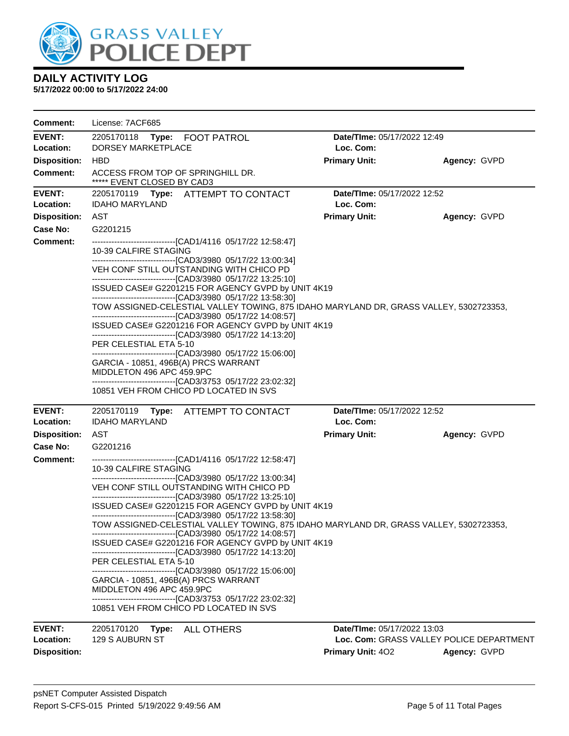

| <b>Comment:</b>            | License: 7ACF685                                                                                                                                                           |                                                 |                                          |
|----------------------------|----------------------------------------------------------------------------------------------------------------------------------------------------------------------------|-------------------------------------------------|------------------------------------------|
| EVENT:<br>Location:        | 2205170118 Type: FOOT PATROL<br><b>DORSEY MARKETPLACE</b>                                                                                                                  | Date/TIme: 05/17/2022 12:49<br>Loc. Com:        |                                          |
| <b>Disposition:</b>        | <b>HBD</b>                                                                                                                                                                 | <b>Primary Unit:</b>                            | Agency: GVPD                             |
| <b>Comment:</b>            | ACCESS FROM TOP OF SPRINGHILL DR.<br>***** EVENT CLOSED BY CAD3                                                                                                            |                                                 |                                          |
| <b>EVENT:</b><br>Location: | 2205170119 Type: ATTEMPT TO CONTACT<br><b>IDAHO MARYLAND</b>                                                                                                               | <b>Date/Time: 05/17/2022 12:52</b><br>Loc. Com: |                                          |
| <b>Disposition:</b>        | AST                                                                                                                                                                        | <b>Primary Unit:</b>                            | Agency: GVPD                             |
| Case No:                   | G2201215                                                                                                                                                                   |                                                 |                                          |
| Comment:                   | -------------------------------[CAD1/4116 05/17/22 12:58:47]<br>10-39 CALFIRE STAGING                                                                                      |                                                 |                                          |
|                            | ---------------------------------[CAD3/3980 05/17/22 13:00:34]<br>VEH CONF STILL OUTSTANDING WITH CHICO PD<br>-------------------------------[CAD3/3980 05/17/22 13:25:10] |                                                 |                                          |
|                            | ISSUED CASE# G2201215 FOR AGENCY GVPD by UNIT 4K19<br>---------------------------------[CAD3/3980 05/17/22 13:58:30]                                                       |                                                 |                                          |
|                            | TOW ASSIGNED-CELESTIAL VALLEY TOWING, 875 IDAHO MARYLAND DR, GRASS VALLEY, 5302723353,<br>---------------------------------[CAD3/3980 05/17/22 14:08:57]                   |                                                 |                                          |
|                            | ISSUED CASE# G2201216 FOR AGENCY GVPD by UNIT 4K19<br>---------------------------------[CAD3/3980 05/17/22 14:13:20]                                                       |                                                 |                                          |
|                            | PER CELESTIAL ETA 5-10<br>---------------------------------[CAD3/3980 05/17/22 15:06:00]                                                                                   |                                                 |                                          |
|                            | GARCIA - 10851, 496B(A) PRCS WARRANT<br>MIDDLETON 496 APC 459.9PC                                                                                                          |                                                 |                                          |
|                            | ---------------------------------[CAD3/3753 05/17/22 23:02:32]<br>10851 VEH FROM CHICO PD LOCATED IN SVS                                                                   |                                                 |                                          |
|                            |                                                                                                                                                                            |                                                 |                                          |
| <b>EVENT:</b><br>Location: | 2205170119 Type: ATTEMPT TO CONTACT<br><b>IDAHO MARYLAND</b>                                                                                                               | <b>Date/Time: 05/17/2022 12:52</b><br>Loc. Com: |                                          |
| <b>Disposition:</b>        | AST                                                                                                                                                                        | <b>Primary Unit:</b>                            | Agency: GVPD                             |
| Case No:                   | G2201216                                                                                                                                                                   |                                                 |                                          |
| <b>Comment:</b>            | --------------------------------[CAD1/4116 05/17/22 12:58:47]<br>10-39 CALFIRE STAGING                                                                                     |                                                 |                                          |
|                            | VEH CONF STILL OUTSTANDING WITH CHICO PD<br>--------------------------------[CAD3/3980 05/17/22 13:25:10]                                                                  |                                                 |                                          |
|                            | ISSUED CASE# G2201215 FOR AGENCY GVPD by UNIT 4K19<br>---------------------------------[CAD3/3980 05/17/22 13:58:30]                                                       |                                                 |                                          |
|                            | TOW ASSIGNED-CELESTIAL VALLEY TOWING, 875 IDAHO MARYLAND DR, GRASS VALLEY, 5302723353,<br>----------------------------[CAD3/3980 05/17/22 14:08:57]                        |                                                 |                                          |
|                            | ISSUED CASE# G2201216 FOR AGENCY GVPD by UNIT 4K19<br>------------------------------[CAD3/3980 05/17/22 14:13:20]                                                          |                                                 |                                          |
|                            | PER CELESTIAL ETA 5-10<br>------------------------------[CAD3/3980 05/17/22 15:06:00]                                                                                      |                                                 |                                          |
|                            | GARCIA - 10851, 496B(A) PRCS WARRANT<br>MIDDLETON 496 APC 459.9PC                                                                                                          |                                                 |                                          |
|                            | --------------------------------[CAD3/3753 05/17/22 23:02:32]<br>10851 VEH FROM CHICO PD LOCATED IN SVS                                                                    |                                                 |                                          |
| <b>EVENT:</b>              | 2205170120 Type:<br>ALL OTHERS                                                                                                                                             | Date/TIme: 05/17/2022 13:03                     |                                          |
| Location:                  | 129 S AUBURN ST                                                                                                                                                            |                                                 | Loc. Com: GRASS VALLEY POLICE DEPARTMENT |
| <b>Disposition:</b>        |                                                                                                                                                                            | Primary Unit: 402                               | Agency: GVPD                             |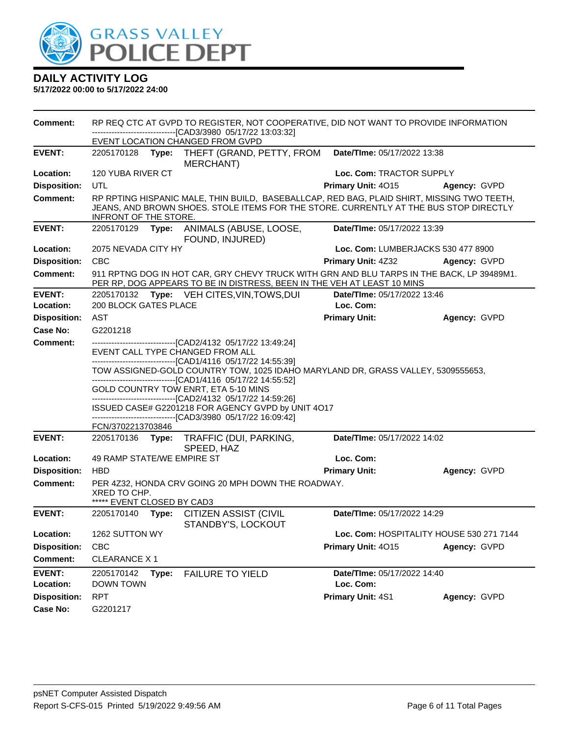

**5/17/2022 00:00 to 5/17/2022 24:00**

**Comment:** RP REQ CTC AT GVPD TO REGISTER, NOT COOPERATIVE, DID NOT WANT TO PROVIDE INFORMATION ------------------------------[CAD3/3980 05/17/22 13:03:32] EVENT LOCATION CHANGED FROM GVPD **EVENT:** 2205170128 **Type:** THEFT (GRAND, PETTY, FROM MERCHANT) **Date/TIme:** 05/17/2022 13:38 **Location:** 120 YUBA RIVER CT **Loc. Com:** TRACTOR SUPPLY **Disposition:** UTL **Primary Unit:** 4O15 **Agency:** GVPD **Comment:** RP RPTING HISPANIC MALE, THIN BUILD, BASEBALLCAP, RED BAG, PLAID SHIRT, MISSING TWO TEETH, JEANS, AND BROWN SHOES. STOLE ITEMS FOR THE STORE. CURRENTLY AT THE BUS STOP DIRECTLY INFRONT OF THE STORE. **EVENT:** 2205170129 **Type:** ANIMALS (ABUSE, LOOSE, FOUND, INJURED) **Date/TIme:** 05/17/2022 13:39 **Location:** 2075 NEVADA CITY HY **Loc. Com:** LUMBERJACKS 530 477 8900 **Disposition:** CBC **Primary Unit:** 4Z32 **Agency:** GVPD **Comment:** 911 RPTNG DOG IN HOT CAR, GRY CHEVY TRUCK WITH GRN AND BLU TARPS IN THE BACK, LP 39489M1. PER RP, DOG APPEARS TO BE IN DISTRESS, BEEN IN THE VEH AT LEAST 10 MINS **EVENT:** 2205170132 **Type:** VEH CITES,VIN,TOWS,DUI **Date/TIme:** 05/17/2022 13:46 **Location:** 200 BLOCK GATES PLACE **Loc. Com: Disposition:** AST **Primary Unit: Agency:** GVPD **Case No:** G2201218 **Comment:** ------------------------------[CAD2/4132 05/17/22 13:49:24] EVENT CALL TYPE CHANGED FROM ALL ------------------------------[CAD1/4116 05/17/22 14:55:39] TOW ASSIGNED-GOLD COUNTRY TOW, 1025 IDAHO MARYLAND DR, GRASS VALLEY, 5309555653, ------------------------------[CAD1/4116 05/17/22 14:55:52] GOLD COUNTRY TOW ENRT, ETA 5-10 MINS ------------------------------[CAD2/4132 05/17/22 14:59:26] ISSUED CASE# G2201218 FOR AGENCY GVPD by UNIT 4O17 ------------------------------[CAD3/3980 05/17/22 16:09:42] FCN/3702213703846 **EVENT:** 2205170136 **Type:** TRAFFIC (DUI, PARKING, SPEED, HAZ **Date/TIme:** 05/17/2022 14:02 **Location:** 49 RAMP STATE/WE EMPIRE ST **Loc. Com: Disposition:** HBD **Primary Unit: Agency:** GVPD **Comment:** PER 4Z32, HONDA CRV GOING 20 MPH DOWN THE ROADWAY. XRED TO CHP. \*\*\*\*\* EVENT CLOSED BY CAD3 **EVENT:** 2205170140 **Type:** CITIZEN ASSIST (CIVIL STANDBY'S, LOCKOUT **Date/TIme:** 05/17/2022 14:29 **Location:** 1262 SUTTON WY **Loc. Com:** HOSPITALITY HOUSE 530 271 7144 **Disposition:** CBC **Primary Unit:** 4O15 **Agency:** GVPD **Comment:** CLEARANCE X 1 **EVENT:** 2205170142 **Type:** FAILURE TO YIELD **Date/TIme:** 05/17/2022 14:40 **Location:** DOWN TOWN **Loc. Com: Disposition:** RPT **Primary Unit:** 4S1 **Agency:** GVPD **Case No:** G2201217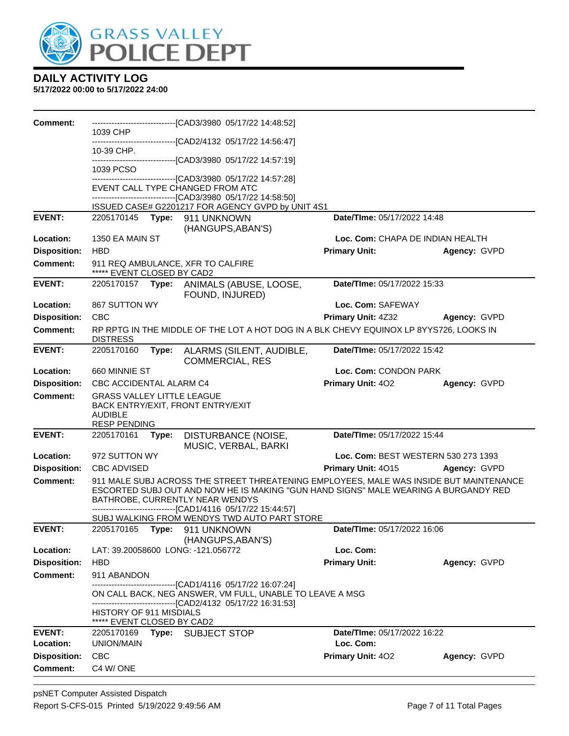

| <b>Comment:</b>            |                                                                            |       | -------------------------------[CAD3/3980_05/17/22 14:48:52]                                                                                                                                                                                                                                                                    |                                          |              |
|----------------------------|----------------------------------------------------------------------------|-------|---------------------------------------------------------------------------------------------------------------------------------------------------------------------------------------------------------------------------------------------------------------------------------------------------------------------------------|------------------------------------------|--------------|
|                            | 1039 CHP                                                                   |       | -------------------------------[CAD2/4132 05/17/22 14:56:47]                                                                                                                                                                                                                                                                    |                                          |              |
|                            | 10-39 CHP.                                                                 |       |                                                                                                                                                                                                                                                                                                                                 |                                          |              |
|                            | 1039 PCSO                                                                  |       | -------------------------------[CAD3/3980 05/17/22 14:57:19]                                                                                                                                                                                                                                                                    |                                          |              |
|                            |                                                                            |       | --------------------------------[CAD3/3980_05/17/22 14:57:28]                                                                                                                                                                                                                                                                   |                                          |              |
|                            |                                                                            |       | EVENT CALL TYPE CHANGED FROM ATC<br>-------------------------------[CAD3/3980 05/17/22 14:58:50]                                                                                                                                                                                                                                |                                          |              |
|                            |                                                                            |       | ISSUED CASE# G2201217 FOR AGENCY GVPD by UNIT 4S1                                                                                                                                                                                                                                                                               |                                          |              |
| <b>EVENT:</b>              | 2205170145 Type:                                                           |       | 911 UNKNOWN<br>(HANGUPS, ABAN'S)                                                                                                                                                                                                                                                                                                | Date/TIme: 05/17/2022 14:48              |              |
| Location:                  | 1350 EA MAIN ST                                                            |       |                                                                                                                                                                                                                                                                                                                                 | Loc. Com: CHAPA DE INDIAN HEALTH         |              |
| <b>Disposition:</b>        | <b>HBD</b>                                                                 |       |                                                                                                                                                                                                                                                                                                                                 | <b>Primary Unit:</b>                     | Agency: GVPD |
| <b>Comment:</b>            | ***** EVENT CLOSED BY CAD2                                                 |       | 911 REQ AMBULANCE, XFR TO CALFIRE                                                                                                                                                                                                                                                                                               |                                          |              |
| <b>EVENT:</b>              | 2205170157                                                                 | Type: | ANIMALS (ABUSE, LOOSE,<br>FOUND, INJURED)                                                                                                                                                                                                                                                                                       | Date/TIme: 05/17/2022 15:33              |              |
| Location:                  | 867 SUTTON WY                                                              |       |                                                                                                                                                                                                                                                                                                                                 | Loc. Com: SAFEWAY                        |              |
| <b>Disposition:</b>        | <b>CBC</b>                                                                 |       |                                                                                                                                                                                                                                                                                                                                 | Primary Unit: 4Z32                       | Agency: GVPD |
| <b>Comment:</b>            | <b>DISTRESS</b>                                                            |       | RP RPTG IN THE MIDDLE OF THE LOT A HOT DOG IN A BLK CHEVY EQUINOX LP 8YYS726, LOOKS IN                                                                                                                                                                                                                                          |                                          |              |
| <b>EVENT:</b>              | 2205170160                                                                 | Type: | ALARMS (SILENT, AUDIBLE,<br><b>COMMERCIAL, RES</b>                                                                                                                                                                                                                                                                              | Date/TIme: 05/17/2022 15:42              |              |
| Location:                  | 660 MINNIE ST                                                              |       |                                                                                                                                                                                                                                                                                                                                 | Loc. Com: CONDON PARK                    |              |
| <b>Disposition:</b>        | CBC ACCIDENTAL ALARM C4                                                    |       |                                                                                                                                                                                                                                                                                                                                 | <b>Primary Unit: 402</b>                 | Agency: GVPD |
| <b>Comment:</b>            | <b>GRASS VALLEY LITTLE LEAGUE</b><br><b>AUDIBLE</b><br><b>RESP PENDING</b> |       | BACK ENTRY/EXIT, FRONT ENTRY/EXIT                                                                                                                                                                                                                                                                                               |                                          |              |
| <b>EVENT:</b>              | 2205170161                                                                 | Type: | DISTURBANCE (NOISE,<br>MUSIC, VERBAL, BARKI                                                                                                                                                                                                                                                                                     | Date/TIme: 05/17/2022 15:44              |              |
| Location:                  | 972 SUTTON WY                                                              |       |                                                                                                                                                                                                                                                                                                                                 | Loc. Com: BEST WESTERN 530 273 1393      |              |
| <b>Disposition:</b>        | <b>CBC ADVISED</b>                                                         |       |                                                                                                                                                                                                                                                                                                                                 | <b>Primary Unit: 4015</b>                | Agency: GVPD |
| <b>Comment:</b>            |                                                                            |       | 911 MALE SUBJ ACROSS THE STREET THREATENING EMPLOYEES, MALE WAS INSIDE BUT MAINTENANCE<br>ESCORTED SUBJ OUT AND NOW HE IS MAKING "GUN HAND SIGNS" MALE WEARING A BURGANDY RED<br>BATHROBE, CURRENTLY NEAR WENDYS<br>------------------------------[CAD1/4116 05/17/22 15:44:57]<br>SUBJ WALKING FROM WENDYS TWD AUTO PART STORE |                                          |              |
| <b>EVENT:</b>              |                                                                            |       | 2205170165 Type: 911 UNKNOWN                                                                                                                                                                                                                                                                                                    | Date/TIme: 05/17/2022 16:06              |              |
|                            |                                                                            |       | (HANGUPS, ABAN'S)                                                                                                                                                                                                                                                                                                               |                                          |              |
| Location:                  |                                                                            |       | LAT: 39.20058600 LONG: -121.056772                                                                                                                                                                                                                                                                                              | Loc. Com:                                |              |
| <b>Disposition:</b>        | <b>HBD</b>                                                                 |       |                                                                                                                                                                                                                                                                                                                                 | <b>Primary Unit:</b>                     | Agency: GVPD |
| <b>Comment:</b>            | 911 ABANDON                                                                |       | -------------------------------[CAD1/4116 05/17/22 16:07:24]                                                                                                                                                                                                                                                                    |                                          |              |
|                            |                                                                            |       | ON CALL BACK, NEG ANSWER, VM FULL, UNABLE TO LEAVE A MSG<br>-------------------------------[CAD2/4132 05/17/22 16:31:53]                                                                                                                                                                                                        |                                          |              |
|                            | <b>HISTORY OF 911 MISDIALS</b><br>***** EVENT CLOSED BY CAD2               |       |                                                                                                                                                                                                                                                                                                                                 |                                          |              |
| <b>EVENT:</b><br>Location: | 2205170169<br>UNION/MAIN                                                   |       | Type: SUBJECT STOP                                                                                                                                                                                                                                                                                                              | Date/TIme: 05/17/2022 16:22<br>Loc. Com: |              |
| <b>Disposition:</b>        | <b>CBC</b>                                                                 |       |                                                                                                                                                                                                                                                                                                                                 | Primary Unit: 402                        | Agency: GVPD |
| <b>Comment:</b>            | C4 W/ONE                                                                   |       |                                                                                                                                                                                                                                                                                                                                 |                                          |              |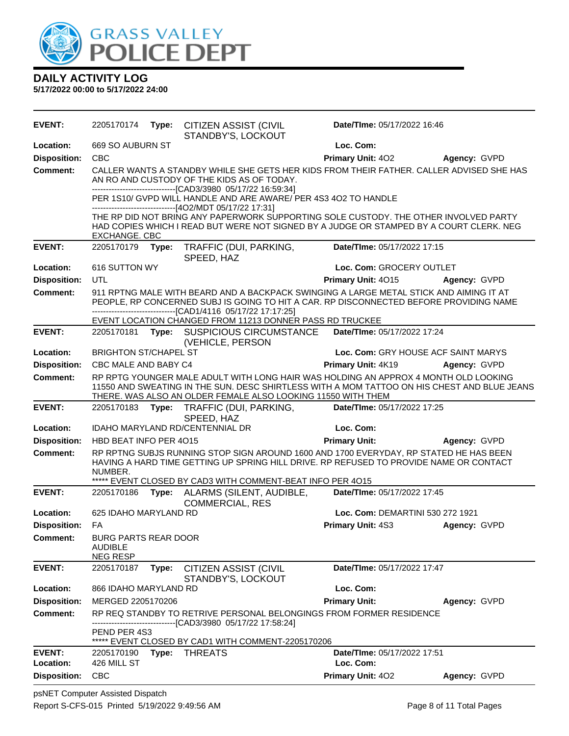

**5/17/2022 00:00 to 5/17/2022 24:00**

| <b>EVENT:</b>       | 2205170174                                                       | Type: | <b>CITIZEN ASSIST (CIVIL</b>                                                                                                                                                                                                                       | Date/TIme: 05/17/2022 16:46         |              |
|---------------------|------------------------------------------------------------------|-------|----------------------------------------------------------------------------------------------------------------------------------------------------------------------------------------------------------------------------------------------------|-------------------------------------|--------------|
| Location:           | 669 SO AUBURN ST                                                 |       | STANDBY'S, LOCKOUT                                                                                                                                                                                                                                 | Loc. Com:                           |              |
| <b>Disposition:</b> | <b>CBC</b>                                                       |       |                                                                                                                                                                                                                                                    | <b>Primary Unit: 402</b>            | Agency: GVPD |
| <b>Comment:</b>     |                                                                  |       | CALLER WANTS A STANDBY WHILE SHE GETS HER KIDS FROM THEIR FATHER. CALLER ADVISED SHE HAS<br>AN RO AND CUSTODY OF THE KIDS AS OF TODAY.                                                                                                             |                                     |              |
|                     |                                                                  |       | -------------------------------[CAD3/3980 05/17/22 16:59:34]<br>PER 1S10/ GVPD WILL HANDLE AND ARE AWARE/ PER 4S3 4O2 TO HANDLE<br>------------------------------[4O2/MDT 05/17/22 17:31]                                                          |                                     |              |
|                     | EXCHANGE. CBC                                                    |       | THE RP DID NOT BRING ANY PAPERWORK SUPPORTING SOLE CUSTODY. THE OTHER INVOLVED PARTY<br>HAD COPIES WHICH I READ BUT WERE NOT SIGNED BY A JUDGE OR STAMPED BY A COURT CLERK. NEG                                                                    |                                     |              |
| <b>EVENT:</b>       | 2205170179 Type:                                                 |       | TRAFFIC (DUI, PARKING,<br>SPEED, HAZ                                                                                                                                                                                                               | Date/TIme: 05/17/2022 17:15         |              |
| Location:           | 616 SUTTON WY                                                    |       |                                                                                                                                                                                                                                                    | Loc. Com: GROCERY OUTLET            |              |
| <b>Disposition:</b> | UTL                                                              |       |                                                                                                                                                                                                                                                    | Primary Unit: 4015                  | Agency: GVPD |
| <b>Comment:</b>     |                                                                  |       | 911 RPTNG MALE WITH BEARD AND A BACKPACK SWINGING A LARGE METAL STICK AND AIMING IT AT<br>PEOPLE, RP CONCERNED SUBJ IS GOING TO HIT A CAR. RP DISCONNECTED BEFORE PROVIDING NAME<br>------------------------[CAD1/4116 05/17/22 17:17:25]          |                                     |              |
| <b>EVENT:</b>       | 2205170181                                                       | Type: | EVENT LOCATION CHANGED FROM 11213 DONNER PASS RD TRUCKEE                                                                                                                                                                                           | Date/TIme: 05/17/2022 17:24         |              |
|                     |                                                                  |       | <b>SUSPICIOUS CIRCUMSTANCE</b><br>(VEHICLE, PERSON                                                                                                                                                                                                 |                                     |              |
| Location:           | <b>BRIGHTON ST/CHAPEL ST</b>                                     |       |                                                                                                                                                                                                                                                    | Loc. Com: GRY HOUSE ACF SAINT MARYS |              |
| <b>Disposition:</b> | CBC MALE AND BABY C4                                             |       |                                                                                                                                                                                                                                                    | Primary Unit: 4K19                  | Agency: GVPD |
| <b>Comment:</b>     |                                                                  |       | RP RPTG YOUNGER MALE ADULT WITH LONG HAIR WAS HOLDING AN APPROX 4 MONTH OLD LOOKING<br>11550 AND SWEATING IN THE SUN. DESC SHIRTLESS WITH A MOM TATTOO ON HIS CHEST AND BLUE JEANS<br>THERE. WAS ALSO AN OLDER FEMALE ALSO LOOKING 11550 WITH THEM |                                     |              |
| <b>EVENT:</b>       | 2205170183                                                       | Type: | TRAFFIC (DUI, PARKING,<br>SPEED, HAZ                                                                                                                                                                                                               | Date/TIme: 05/17/2022 17:25         |              |
| Location:           |                                                                  |       | IDAHO MARYLAND RD/CENTENNIAL DR                                                                                                                                                                                                                    | Loc. Com:                           |              |
| <b>Disposition:</b> | HBD BEAT INFO PER 4015                                           |       |                                                                                                                                                                                                                                                    | <b>Primary Unit:</b>                | Agency: GVPD |
| <b>Comment:</b>     | NUMBER.                                                          |       | RP RPTNG SUBJS RUNNING STOP SIGN AROUND 1600 AND 1700 EVERYDAY, RP STATED HE HAS BEEN<br>HAVING A HARD TIME GETTING UP SPRING HILL DRIVE. RP REFUSED TO PROVIDE NAME OR CONTACT<br>***** EVENT CLOSED BY CAD3 WITH COMMENT-BEAT INFO PER 4015      |                                     |              |
| <b>EVENT:</b>       | 2205170186                                                       | Type: | ALARMS (SILENT, AUDIBLE,                                                                                                                                                                                                                           | Date/TIme: 05/17/2022 17:45         |              |
|                     |                                                                  |       | <b>COMMERCIAL, RES</b>                                                                                                                                                                                                                             |                                     |              |
| Location:           | 625 IDAHO MARYLAND RD                                            |       |                                                                                                                                                                                                                                                    | Loc. Com: DEMARTINI 530 272 1921    |              |
| <b>Disposition:</b> | FA                                                               |       |                                                                                                                                                                                                                                                    | Primary Unit: 4S3                   | Agency: GVPD |
| <b>Comment:</b>     | <b>BURG PARTS REAR DOOR</b><br><b>AUDIBLE</b><br><b>NEG RESP</b> |       |                                                                                                                                                                                                                                                    |                                     |              |
| <b>EVENT:</b>       | 2205170187                                                       | Type: | CITIZEN ASSIST (CIVIL<br>STANDBY'S, LOCKOUT                                                                                                                                                                                                        | Date/TIme: 05/17/2022 17:47         |              |
| Location:           | 866 IDAHO MARYLAND RD                                            |       |                                                                                                                                                                                                                                                    | Loc. Com:                           |              |
| <b>Disposition:</b> | MERGED 2205170206                                                |       |                                                                                                                                                                                                                                                    | <b>Primary Unit:</b>                | Agency: GVPD |
| Comment:            |                                                                  |       | RP REQ STANDBY TO RETRIVE PERSONAL BELONGINGS FROM FORMER RESIDENCE<br>-----------[CAD3/3980 05/17/22 17:58:24]                                                                                                                                    |                                     |              |
|                     | PEND PER 4S3                                                     |       | ***** EVENT CLOSED BY CAD1 WITH COMMENT-2205170206                                                                                                                                                                                                 |                                     |              |
| <b>EVENT:</b>       | 2205170190                                                       | Type: | <b>THREATS</b>                                                                                                                                                                                                                                     | Date/TIme: 05/17/2022 17:51         |              |
| Location:           | 426 MILL ST                                                      |       |                                                                                                                                                                                                                                                    | Loc. Com:                           |              |
| <b>Disposition:</b> | <b>CBC</b>                                                       |       |                                                                                                                                                                                                                                                    | Primary Unit: 402                   | Agency: GVPD |

psNET Computer Assisted Dispatch Report S-CFS-015 Printed 5/19/2022 9:49:56 AM Page 8 of 11 Total Pages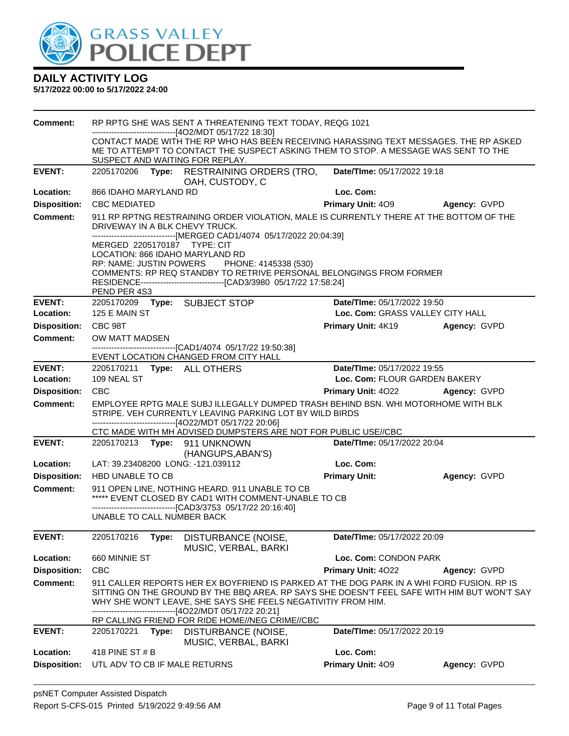

| Comment:            |                                                                                                                                                                                                                                  | RP RPTG SHE WAS SENT A THREATENING TEXT TODAY, REQG 1021                                                                                                                                                                                                                                                              |                                                                                        |              |  |
|---------------------|----------------------------------------------------------------------------------------------------------------------------------------------------------------------------------------------------------------------------------|-----------------------------------------------------------------------------------------------------------------------------------------------------------------------------------------------------------------------------------------------------------------------------------------------------------------------|----------------------------------------------------------------------------------------|--------------|--|
|                     | ------------------------[4O2/MDT 05/17/22 18:30]<br>CONTACT MADE WITH THE RP WHO HAS BEEN RECEIVING HARASSING TEXT MESSAGES. THE RP ASKED<br>ME TO ATTEMPT TO CONTACT THE SUSPECT ASKING THEM TO STOP. A MESSAGE WAS SENT TO THE |                                                                                                                                                                                                                                                                                                                       |                                                                                        |              |  |
|                     | SUSPECT AND WAITING FOR REPLAY.                                                                                                                                                                                                  |                                                                                                                                                                                                                                                                                                                       |                                                                                        |              |  |
| <b>EVENT:</b>       | 2205170206                                                                                                                                                                                                                       | Type: RESTRAINING ORDERS (TRO,<br>OAH, CUSTODY, C                                                                                                                                                                                                                                                                     | Date/TIme: 05/17/2022 19:18                                                            |              |  |
| Location:           | 866 IDAHO MARYLAND RD                                                                                                                                                                                                            |                                                                                                                                                                                                                                                                                                                       | Loc. Com:                                                                              |              |  |
| <b>Disposition:</b> | <b>CBC MEDIATED</b>                                                                                                                                                                                                              |                                                                                                                                                                                                                                                                                                                       | <b>Primary Unit: 409</b>                                                               | Agency: GVPD |  |
| <b>Comment:</b>     | DRIVEWAY IN A BLK CHEVY TRUCK.                                                                                                                                                                                                   | ------------------------[MERGED CAD1/4074 05/17/2022 20:04:39]                                                                                                                                                                                                                                                        | 911 RP RPTNG RESTRAINING ORDER VIOLATION, MALE IS CURRENTLY THERE AT THE BOTTOM OF THE |              |  |
|                     | MERGED 2205170187 TYPE: CIT<br>LOCATION: 866 IDAHO MARYLAND RD<br>PEND PER 4S3                                                                                                                                                   | RP: NAME: JUSTIN POWERS PHONE: 4145338 (530)<br>COMMENTS: RP REQ STANDBY TO RETRIVE PERSONAL BELONGINGS FROM FORMER                                                                                                                                                                                                   |                                                                                        |              |  |
| <b>EVENT:</b>       | 2205170209 Type: SUBJECT STOP                                                                                                                                                                                                    |                                                                                                                                                                                                                                                                                                                       | Date/TIme: 05/17/2022 19:50                                                            |              |  |
| Location:           | 125 E MAIN ST                                                                                                                                                                                                                    |                                                                                                                                                                                                                                                                                                                       | Loc. Com: GRASS VALLEY CITY HALL                                                       |              |  |
| <b>Disposition:</b> | CBC 98T                                                                                                                                                                                                                          |                                                                                                                                                                                                                                                                                                                       | <b>Primary Unit: 4K19</b>                                                              | Agency: GVPD |  |
| <b>Comment:</b>     | OW MATT MADSEN                                                                                                                                                                                                                   |                                                                                                                                                                                                                                                                                                                       |                                                                                        |              |  |
|                     |                                                                                                                                                                                                                                  | -------------------------------[CAD1/4074_05/17/22 19:50:38]<br>EVENT LOCATION CHANGED FROM CITY HALL                                                                                                                                                                                                                 |                                                                                        |              |  |
| <b>EVENT:</b>       | 2205170211 Type: ALL OTHERS                                                                                                                                                                                                      |                                                                                                                                                                                                                                                                                                                       | Date/TIme: 05/17/2022 19:55                                                            |              |  |
| Location:           | 109 NEAL ST                                                                                                                                                                                                                      |                                                                                                                                                                                                                                                                                                                       | Loc. Com: FLOUR GARDEN BAKERY                                                          |              |  |
| <b>Disposition:</b> | <b>CBC</b>                                                                                                                                                                                                                       |                                                                                                                                                                                                                                                                                                                       | <b>Primary Unit: 4022 Agency: GVPD</b>                                                 |              |  |
| <b>Comment:</b>     | EMPLOYEE RPTG MALE SUBJ ILLEGALLY DUMPED TRASH BEHIND BSN. WHI MOTORHOME WITH BLK<br>STRIPE. VEH CURRENTLY LEAVING PARKING LOT BY WILD BIRDS<br>------------------------[4O22/MDT 05/17/22 20:06]                                |                                                                                                                                                                                                                                                                                                                       |                                                                                        |              |  |
|                     |                                                                                                                                                                                                                                  | CTC MADE WITH MH ADVISED DUMPSTERS ARE NOT FOR PUBLIC USE//CBC                                                                                                                                                                                                                                                        |                                                                                        |              |  |
| <b>EVENT:</b>       | 2205170213 Type: 911 UNKNOWN                                                                                                                                                                                                     | (HANGUPS, ABAN'S)                                                                                                                                                                                                                                                                                                     | Date/TIme: 05/17/2022 20:04                                                            |              |  |
| Location:           | LAT: 39.23408200 LONG: -121.039112                                                                                                                                                                                               |                                                                                                                                                                                                                                                                                                                       | Loc. Com:                                                                              |              |  |
| <b>Disposition:</b> | HBD UNABLE TO CB                                                                                                                                                                                                                 |                                                                                                                                                                                                                                                                                                                       | <b>Primary Unit:</b>                                                                   | Agency: GVPD |  |
| Comment:            |                                                                                                                                                                                                                                  | 911 OPEN LINE, NOTHING HEARD. 911 UNABLE TO CB<br>***** EVENT CLOSED BY CAD1 WITH COMMENT-UNABLE TO CB<br>-------------------------------[CAD3/3753 05/17/22 20:16:40]                                                                                                                                                |                                                                                        |              |  |
|                     | UNABLE TO CALL NUMBER BACK                                                                                                                                                                                                       |                                                                                                                                                                                                                                                                                                                       |                                                                                        |              |  |
| <b>EVENT:</b>       | 2205170216<br>Type:                                                                                                                                                                                                              | DISTURBANCE (NOISE,<br>MUSIC, VERBAL, BARKI                                                                                                                                                                                                                                                                           | Date/TIme: 05/17/2022 20:09                                                            |              |  |
| Location:           | 660 MINNIE ST                                                                                                                                                                                                                    |                                                                                                                                                                                                                                                                                                                       | Loc. Com: CONDON PARK                                                                  |              |  |
| <b>Disposition:</b> | <b>CBC</b>                                                                                                                                                                                                                       |                                                                                                                                                                                                                                                                                                                       | Primary Unit: 4022                                                                     | Agency: GVPD |  |
| <b>Comment:</b>     |                                                                                                                                                                                                                                  | 911 CALLER REPORTS HER EX BOYFRIEND IS PARKED AT THE DOG PARK IN A WHI FORD FUSION. RP IS<br>SITTING ON THE GROUND BY THE BBQ AREA. RP SAYS SHE DOESN'T FEEL SAFE WITH HIM BUT WON'T SAY<br>WHY SHE WON'T LEAVE, SHE SAYS SHE FEELS NEGATIVITIY FROM HIM.<br>-------------------------------[4O22/MDT 05/17/22 20:21] |                                                                                        |              |  |
|                     |                                                                                                                                                                                                                                  | RP CALLING FRIEND FOR RIDE HOME//NEG CRIME//CBC                                                                                                                                                                                                                                                                       |                                                                                        |              |  |
| <b>EVENT:</b>       | 2205170221<br>Type:                                                                                                                                                                                                              | DISTURBANCE (NOISE,<br>MUSIC, VERBAL, BARKI                                                                                                                                                                                                                                                                           | Date/TIme: 05/17/2022 20:19                                                            |              |  |
| Location:           | 418 PINE ST # B                                                                                                                                                                                                                  |                                                                                                                                                                                                                                                                                                                       | Loc. Com:                                                                              |              |  |
| <b>Disposition:</b> | UTL ADV TO CB IF MALE RETURNS                                                                                                                                                                                                    |                                                                                                                                                                                                                                                                                                                       | Primary Unit: 409                                                                      | Agency: GVPD |  |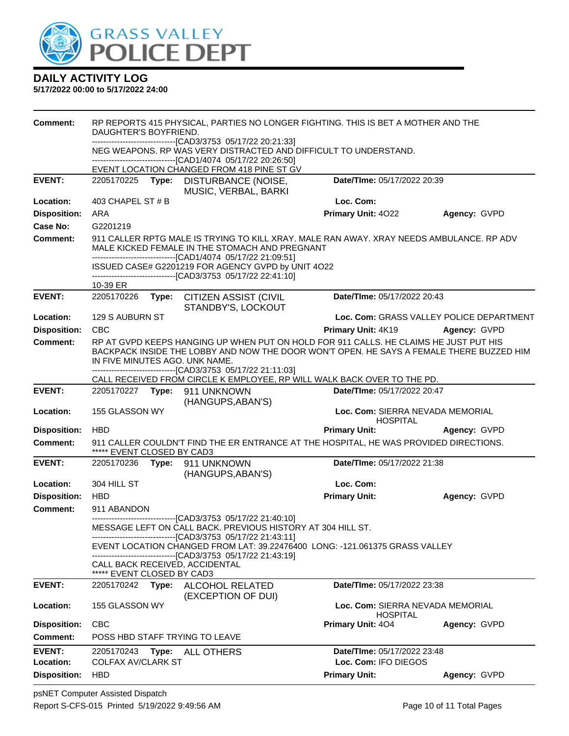

| Comment:                   | RP REPORTS 415 PHYSICAL, PARTIES NO LONGER FIGHTING. THIS IS BET A MOTHER AND THE<br>DAUGHTER'S BOYFRIEND.                                                                                                 |       |                                                                                                                                                                                                                     |                                                     |                                          |
|----------------------------|------------------------------------------------------------------------------------------------------------------------------------------------------------------------------------------------------------|-------|---------------------------------------------------------------------------------------------------------------------------------------------------------------------------------------------------------------------|-----------------------------------------------------|------------------------------------------|
|                            |                                                                                                                                                                                                            |       | -------------------------------[CAD3/3753_05/17/22_20:21:33]<br>NEG WEAPONS. RP WAS VERY DISTRACTED AND DIFFICULT TO UNDERSTAND.                                                                                    |                                                     |                                          |
|                            |                                                                                                                                                                                                            |       | -------------------------------[CAD1/4074 05/17/22 20:26:50]                                                                                                                                                        |                                                     |                                          |
| <b>EVENT:</b>              | 2205170225                                                                                                                                                                                                 |       | EVENT LOCATION CHANGED FROM 418 PINE ST GV<br>Type: DISTURBANCE (NOISE,<br>MUSIC, VERBAL, BARKI                                                                                                                     | Date/TIme: 05/17/2022 20:39                         |                                          |
| Location:                  | 403 CHAPEL ST # B                                                                                                                                                                                          |       |                                                                                                                                                                                                                     | Loc. Com:                                           |                                          |
| <b>Disposition:</b>        | ARA                                                                                                                                                                                                        |       |                                                                                                                                                                                                                     | Primary Unit: 4022                                  | Agency: GVPD                             |
| Case No:                   | G2201219                                                                                                                                                                                                   |       |                                                                                                                                                                                                                     |                                                     |                                          |
| <b>Comment:</b>            | 911 CALLER RPTG MALE IS TRYING TO KILL XRAY. MALE RAN AWAY. XRAY NEEDS AMBULANCE. RP ADV<br>MALE KICKED FEMALE IN THE STOMACH AND PREGNANT<br>-------------------------------[CAD1/4074 05/17/22 21:09:51] |       |                                                                                                                                                                                                                     |                                                     |                                          |
|                            |                                                                                                                                                                                                            |       | ISSUED CASE# G2201219 FOR AGENCY GVPD by UNIT 4O22<br>-------------------------------[CAD3/3753 05/17/22 22:41:10]                                                                                                  |                                                     |                                          |
|                            | 10-39 ER                                                                                                                                                                                                   |       |                                                                                                                                                                                                                     |                                                     |                                          |
| <b>EVENT:</b>              | 2205170226                                                                                                                                                                                                 | Type: | <b>CITIZEN ASSIST (CIVIL</b><br>STANDBY'S, LOCKOUT                                                                                                                                                                  | Date/TIme: 05/17/2022 20:43                         |                                          |
| Location:                  | 129 S AUBURN ST                                                                                                                                                                                            |       |                                                                                                                                                                                                                     |                                                     | Loc. Com: GRASS VALLEY POLICE DEPARTMENT |
| <b>Disposition:</b>        | <b>CBC</b>                                                                                                                                                                                                 |       |                                                                                                                                                                                                                     | Primary Unit: 4K19                                  | Agency: GVPD                             |
| <b>Comment:</b>            |                                                                                                                                                                                                            |       | RP AT GVPD KEEPS HANGING UP WHEN PUT ON HOLD FOR 911 CALLS. HE CLAIMS HE JUST PUT HIS<br>BACKPACK INSIDE THE LOBBY AND NOW THE DOOR WON'T OPEN. HE SAYS A FEMALE THERE BUZZED HIM<br>IN FIVE MINUTES AGO. UNK NAME. |                                                     |                                          |
|                            |                                                                                                                                                                                                            |       | -------------------------------[CAD3/3753_05/17/22_21:11:03]<br>CALL RECEIVED FROM CIRCLE K EMPLOYEE, RP WILL WALK BACK OVER TO THE PD.                                                                             |                                                     |                                          |
| <b>EVENT:</b>              |                                                                                                                                                                                                            |       | 2205170227    Type: 911    UNKNOWN<br>(HANGUPS, ABAN'S)                                                                                                                                                             | Date/TIme: 05/17/2022 20:47                         |                                          |
| Location:                  | 155 GLASSON WY                                                                                                                                                                                             |       |                                                                                                                                                                                                                     | Loc. Com: SIERRA NEVADA MEMORIAL<br><b>HOSPITAL</b> |                                          |
| <b>Disposition:</b>        | <b>HBD</b>                                                                                                                                                                                                 |       |                                                                                                                                                                                                                     | <b>Primary Unit:</b>                                | Agency: GVPD                             |
| <b>Comment:</b>            | ***** EVENT CLOSED BY CAD3                                                                                                                                                                                 |       | 911 CALLER COULDN'T FIND THE ER ENTRANCE AT THE HOSPITAL, HE WAS PROVIDED DIRECTIONS.                                                                                                                               |                                                     |                                          |
| <b>EVENT:</b>              | 2205170236                                                                                                                                                                                                 | Type: | 911 UNKNOWN<br>(HANGUPS, ABAN'S)                                                                                                                                                                                    | Date/TIme: 05/17/2022 21:38                         |                                          |
| Location:                  | 304 HILL ST                                                                                                                                                                                                |       |                                                                                                                                                                                                                     | Loc. Com:                                           |                                          |
| <b>Disposition:</b>        | <b>HBD</b>                                                                                                                                                                                                 |       |                                                                                                                                                                                                                     | <b>Primary Unit:</b>                                | Agency: GVPD                             |
| <b>Comment:</b>            | 911 ABANDON                                                                                                                                                                                                |       |                                                                                                                                                                                                                     |                                                     |                                          |
|                            |                                                                                                                                                                                                            |       | -------------------------[CAD3/3753_05/17/22_21:40:10]<br>MESSAGE LEFT ON CALL BACK. PREVIOUS HISTORY AT 304 HILL ST.<br>-------------------------------[CAD3/3753 05/17/22 21:43:11]                               |                                                     |                                          |
|                            |                                                                                                                                                                                                            |       | EVENT LOCATION CHANGED FROM LAT: 39.22476400 LONG: -121.061375 GRASS VALLEY<br>-------------------------------[CAD3/3753 05/17/22 21:43:19]                                                                         |                                                     |                                          |
|                            | ***** EVENT CLOSED BY CAD3                                                                                                                                                                                 |       | CALL BACK RECEIVED, ACCIDENTAL                                                                                                                                                                                      |                                                     |                                          |
| <b>EVENT:</b>              | 2205170242                                                                                                                                                                                                 | Type: | <b>ALCOHOL RELATED</b><br>(EXCEPTION OF DUI)                                                                                                                                                                        | Date/TIme: 05/17/2022 23:38                         |                                          |
| Location:                  | 155 GLASSON WY                                                                                                                                                                                             |       |                                                                                                                                                                                                                     | Loc. Com: SIERRA NEVADA MEMORIAL<br><b>HOSPITAL</b> |                                          |
| <b>Disposition:</b>        | <b>CBC</b>                                                                                                                                                                                                 |       |                                                                                                                                                                                                                     | Primary Unit: 404                                   | Agency: GVPD                             |
| <b>Comment:</b>            |                                                                                                                                                                                                            |       | POSS HBD STAFF TRYING TO LEAVE                                                                                                                                                                                      |                                                     |                                          |
| <b>EVENT:</b><br>Location: | 2205170243<br><b>COLFAX AV/CLARK ST</b>                                                                                                                                                                    | Type: | ALL OTHERS                                                                                                                                                                                                          | Date/TIme: 05/17/2022 23:48<br>Loc. Com: IFO DIEGOS |                                          |
| <b>Disposition:</b>        | <b>HBD</b>                                                                                                                                                                                                 |       |                                                                                                                                                                                                                     | <b>Primary Unit:</b>                                | Agency: GVPD                             |
|                            |                                                                                                                                                                                                            |       |                                                                                                                                                                                                                     |                                                     |                                          |